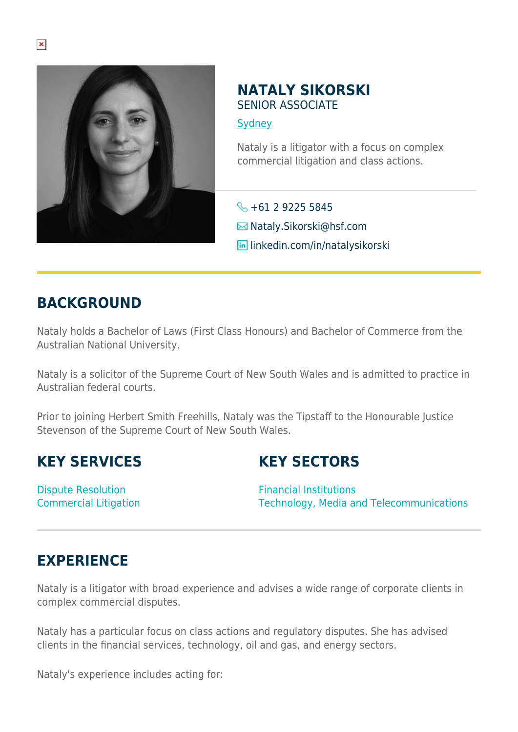

#### **NATALY SIKORSKI** SENIOR ASSOCIATE

**[Sydney](https://www.herbertsmithfreehills.com/where-we-work/sydney)** 

Nataly is a litigator with a focus on complex commercial litigation and class actions.

 $\leftarrow +61292255845$ **E**Nataly.Sikorski@hsf.com **in** linkedin.com/in/natalysikorski

## **BACKGROUND**

Nataly holds a Bachelor of Laws (First Class Honours) and Bachelor of Commerce from the Australian National University.

Nataly is a solicitor of the Supreme Court of New South Wales and is admitted to practice in Australian federal courts.

Prior to joining Herbert Smith Freehills, Nataly was the Tipstaff to the Honourable Justice Stevenson of the Supreme Court of New South Wales.

## **KEY SERVICES**

# **KEY SECTORS**

Dispute Resolution Commercial Litigation

Financial Institutions Technology, Media and Telecommunications

# **EXPERIENCE**

Nataly is a litigator with broad experience and advises a wide range of corporate clients in complex commercial disputes.

Nataly has a particular focus on class actions and regulatory disputes. She has advised clients in the financial services, technology, oil and gas, and energy sectors.

Nataly's experience includes acting for: